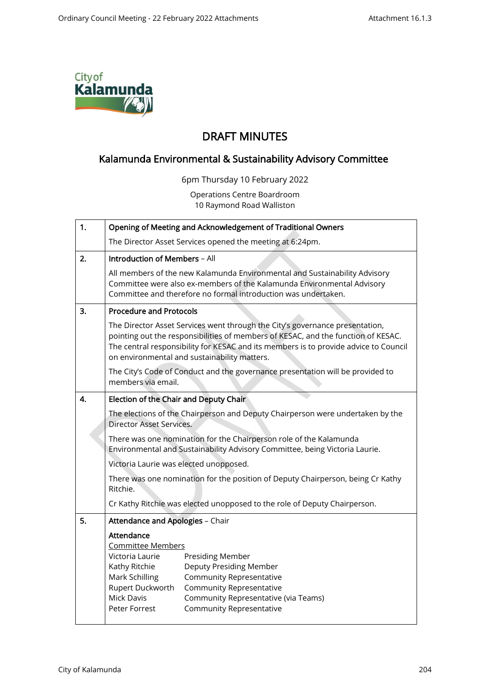

## DRAFT MINUTES

## Kalamunda Environmental & Sustainability Advisory Committee

6pm Thursday 10 February 2022

Operations Centre Boardroom 10 Raymond Road Walliston

| 1. | Opening of Meeting and Acknowledgement of Traditional Owners                                                                                                                                                                                                                                              |
|----|-----------------------------------------------------------------------------------------------------------------------------------------------------------------------------------------------------------------------------------------------------------------------------------------------------------|
|    | The Director Asset Services opened the meeting at 6:24pm.                                                                                                                                                                                                                                                 |
| 2. | <b>Introduction of Members - All</b>                                                                                                                                                                                                                                                                      |
|    | All members of the new Kalamunda Environmental and Sustainability Advisory<br>Committee were also ex-members of the Kalamunda Environmental Advisory<br>Committee and therefore no formal introduction was undertaken.                                                                                    |
| 3. | <b>Procedure and Protocols</b>                                                                                                                                                                                                                                                                            |
|    | The Director Asset Services went through the City's governance presentation,<br>pointing out the responsibilities of members of KESAC, and the function of KESAC.<br>The central responsibility for KESAC and its members is to provide advice to Council<br>on environmental and sustainability matters. |
|    | The City's Code of Conduct and the governance presentation will be provided to<br>members via email.                                                                                                                                                                                                      |
| 4. | Election of the Chair and Deputy Chair                                                                                                                                                                                                                                                                    |
|    | The elections of the Chairperson and Deputy Chairperson were undertaken by the<br><b>Director Asset Services.</b>                                                                                                                                                                                         |
|    | There was one nomination for the Chairperson role of the Kalamunda<br>Environmental and Sustainability Advisory Committee, being Victoria Laurie.                                                                                                                                                         |
|    | Victoria Laurie was elected unopposed.                                                                                                                                                                                                                                                                    |
|    | There was one nomination for the position of Deputy Chairperson, being Cr Kathy<br>Ritchie.                                                                                                                                                                                                               |
|    | Cr Kathy Ritchie was elected unopposed to the role of Deputy Chairperson.                                                                                                                                                                                                                                 |
| 5. | <b>Attendance and Apologies - Chair</b>                                                                                                                                                                                                                                                                   |
|    | Attendance<br>Committee Members<br>Victoria Laurie<br>Presiding Member<br>Deputy Presiding Member                                                                                                                                                                                                         |
|    | Kathy Ritchie<br>Mark Schilling<br><b>Community Representative</b><br>Rupert Duckworth<br><b>Community Representative</b><br><b>Mick Davis</b><br>Community Representative (via Teams)<br>Peter Forrest<br><b>Community Representative</b>                                                                |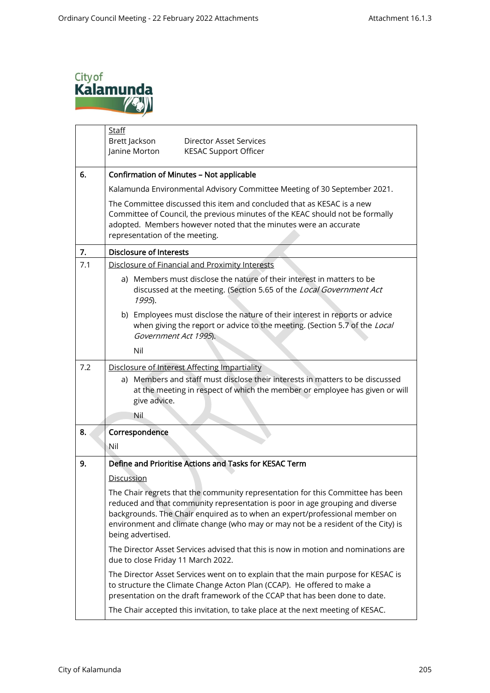

|     | Staff<br>Brett Jackson<br>Director Asset Services<br>Janine Morton<br><b>KESAC Support Officer</b>                                                                                                                                                                                                                                                       |
|-----|----------------------------------------------------------------------------------------------------------------------------------------------------------------------------------------------------------------------------------------------------------------------------------------------------------------------------------------------------------|
| 6.  | Confirmation of Minutes - Not applicable                                                                                                                                                                                                                                                                                                                 |
|     | Kalamunda Environmental Advisory Committee Meeting of 30 September 2021.                                                                                                                                                                                                                                                                                 |
|     | The Committee discussed this item and concluded that as KESAC is a new<br>Committee of Council, the previous minutes of the KEAC should not be formally<br>adopted. Members however noted that the minutes were an accurate<br>representation of the meeting.                                                                                            |
| 7.  | <b>Disclosure of Interests</b>                                                                                                                                                                                                                                                                                                                           |
| 7.1 | Disclosure of Financial and Proximity Interests                                                                                                                                                                                                                                                                                                          |
|     | a) Members must disclose the nature of their interest in matters to be<br>discussed at the meeting. (Section 5.65 of the Local Government Act<br>1995).                                                                                                                                                                                                  |
|     | b) Employees must disclose the nature of their interest in reports or advice<br>when giving the report or advice to the meeting. (Section 5.7 of the Local<br>Government Act 1995).                                                                                                                                                                      |
|     | Nil                                                                                                                                                                                                                                                                                                                                                      |
| 7.2 | Disclosure of Interest Affecting Impartiality<br>a) Members and staff must disclose their interests in matters to be discussed<br>at the meeting in respect of which the member or employee has given or will<br>give advice.<br>Nil                                                                                                                     |
| 8.  | Correspondence                                                                                                                                                                                                                                                                                                                                           |
|     | Nil                                                                                                                                                                                                                                                                                                                                                      |
| 9.  | Define and Prioritise Actions and Tasks for KESAC Term                                                                                                                                                                                                                                                                                                   |
|     | <u>Discussion</u>                                                                                                                                                                                                                                                                                                                                        |
|     | The Chair regrets that the community representation for this Committee has been<br>reduced and that community representation is poor in age grouping and diverse<br>backgrounds. The Chair enquired as to when an expert/professional member on<br>environment and climate change (who may or may not be a resident of the City) is<br>being advertised. |
|     | The Director Asset Services advised that this is now in motion and nominations are<br>due to close Friday 11 March 2022.                                                                                                                                                                                                                                 |
|     | The Director Asset Services went on to explain that the main purpose for KESAC is<br>to structure the Climate Change Acton Plan (CCAP). He offered to make a<br>presentation on the draft framework of the CCAP that has been done to date.                                                                                                              |
|     | The Chair accepted this invitation, to take place at the next meeting of KESAC.                                                                                                                                                                                                                                                                          |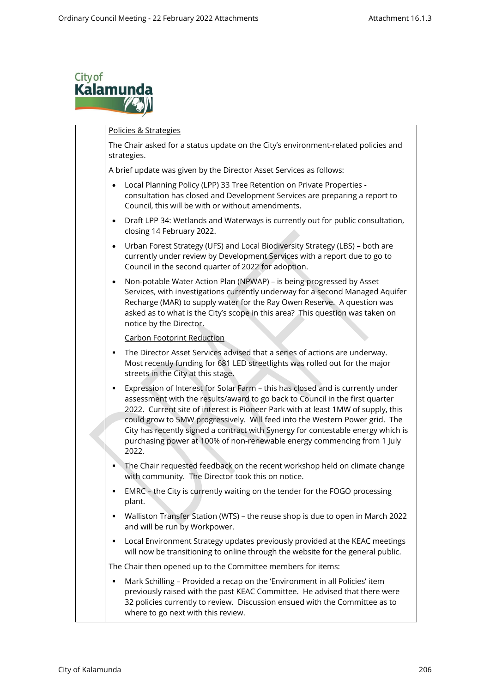

Policies & Strategies The Chair asked for a status update on the City's environment-related policies and strategies. A brief update was given by the Director Asset Services as follows: • Local Planning Policy (LPP) 33 Tree Retention on Private Properties consultation has closed and Development Services are preparing a report to Council, this will be with or without amendments. • Draft LPP 34: Wetlands and Waterways is currently out for public consultation, closing 14 February 2022. • Urban Forest Strategy (UFS) and Local Biodiversity Strategy (LBS) – both are currently under review by Development Services with a report due to go to Council in the second quarter of 2022 for adoption. • Non-potable Water Action Plan (NPWAP) – is being progressed by Asset Services, with investigations currently underway for a second Managed Aquifer Recharge (MAR) to supply water for the Ray Owen Reserve. A question was asked as to what is the City's scope in this area? This question was taken on notice by the Director. Carbon Footprint Reduction **The Director Asset Services advised that a series of actions are underway.** Most recently funding for 681 LED streetlights was rolled out for the major streets in the City at this stage. **Expression of Interest for Solar Farm – this has closed and is currently under** assessment with the results/award to go back to Council in the first quarter 2022. Current site of interest is Pioneer Park with at least 1MW of supply, this could grow to 5MW progressively. Will feed into the Western Power grid. The City has recently signed a contract with Synergy for contestable energy which is purchasing power at 100% of non-renewable energy commencing from 1 July 2022. The Chair requested feedback on the recent workshop held on climate change with community. The Director took this on notice. **EMRC** – the City is currently waiting on the tender for the FOGO processing plant. ▪ Walliston Transfer Station (WTS) – the reuse shop is due to open in March 2022 and will be run by Workpower. **•** Local Environment Strategy updates previously provided at the KEAC meetings will now be transitioning to online through the website for the general public. The Chair then opened up to the Committee members for items: Mark Schilling – Provided a recap on the 'Environment in all Policies' item previously raised with the past KEAC Committee. He advised that there were 32 policies currently to review. Discussion ensued with the Committee as to where to go next with this review.